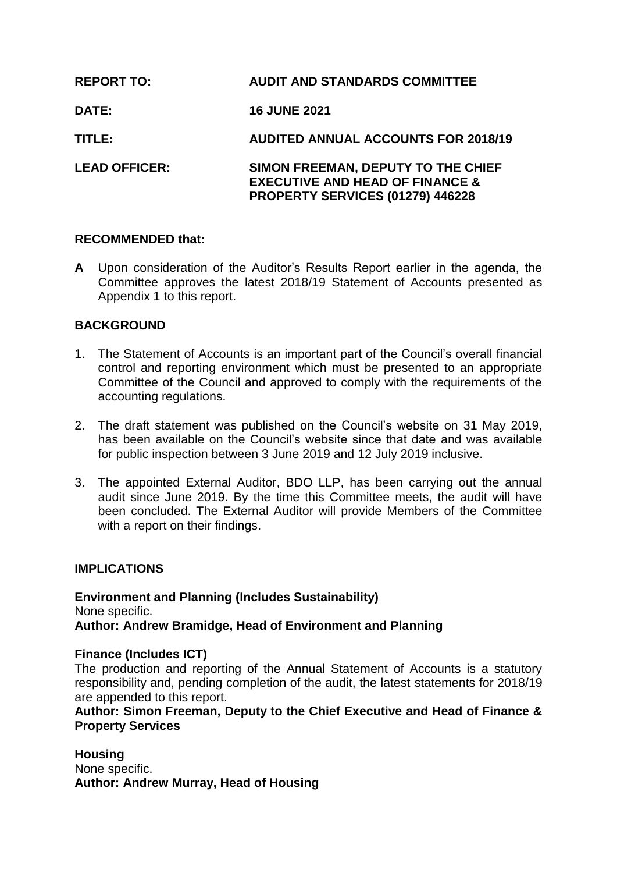| <b>REPORT TO:</b>    | <b>AUDIT AND STANDARDS COMMITTEE</b>                                                                                 |
|----------------------|----------------------------------------------------------------------------------------------------------------------|
| <b>DATE:</b>         | <b>16 JUNE 2021</b>                                                                                                  |
| TITLE:               | <b>AUDITED ANNUAL ACCOUNTS FOR 2018/19</b>                                                                           |
| <b>LEAD OFFICER:</b> | SIMON FREEMAN, DEPUTY TO THE CHIEF<br><b>EXECUTIVE AND HEAD OF FINANCE &amp;</b><br>PROPERTY SERVICES (01279) 446228 |

# **RECOMMENDED that:**

**A** Upon consideration of the Auditor's Results Report earlier in the agenda, the Committee approves the latest 2018/19 Statement of Accounts presented as Appendix 1 to this report.

# **BACKGROUND**

- 1. The Statement of Accounts is an important part of the Council's overall financial control and reporting environment which must be presented to an appropriate Committee of the Council and approved to comply with the requirements of the accounting regulations.
- 2. The draft statement was published on the Council's website on 31 May 2019, has been available on the Council's website since that date and was available for public inspection between 3 June 2019 and 12 July 2019 inclusive.
- 3. The appointed External Auditor, BDO LLP, has been carrying out the annual audit since June 2019. By the time this Committee meets, the audit will have been concluded. The External Auditor will provide Members of the Committee with a report on their findings.

# **IMPLICATIONS**

**Environment and Planning (Includes Sustainability)** None specific. **Author: Andrew Bramidge, Head of Environment and Planning**

#### **Finance (Includes ICT)**

The production and reporting of the Annual Statement of Accounts is a statutory responsibility and, pending completion of the audit, the latest statements for 2018/19 are appended to this report.

### **Author: Simon Freeman, Deputy to the Chief Executive and Head of Finance & Property Services**

**Housing** None specific. **Author: Andrew Murray, Head of Housing**